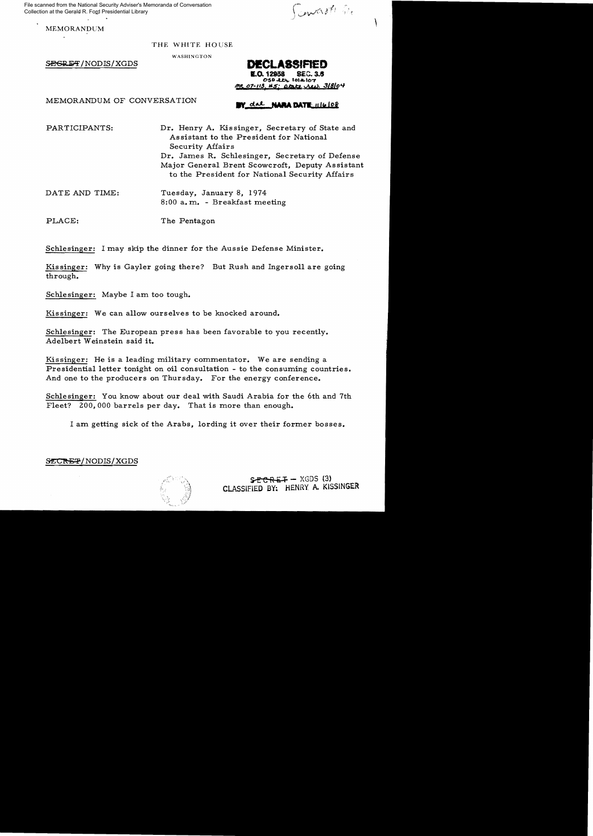ned from the National Security Adviser's Memoranda of Conversation<br>
n at the Gerald R. Ford Presidential Library<br>
MEMORANDUM<br>
MEMORANDUM File scanned from the National Security Adviser's Memoranda of Conversation Collection at the Gerald R. Ford Presidential Library

### THE WHITE HOUSE

WASHINGTON

**BEGRET/NODIS/XGDS <b>DECLASSIFIED** 

**E.o.** 12858 SEC. 3.5 cso~ 1o,,,,,o7  $H_5$  about red. 318/04

MEMORANDUM OF CONVERSATION **IV** dat **NARA DATE** 116108

PARTICIPANTS: Dr. Henry A. Kissinger, Secretary of State and Assistant to the President for National Security Affairs Dr. James R. Schlesinger, Secretary of Defense Major General Brent Scowcroft, Deputy Assistant to the President for National Security Affairs

DATE AND TIME: Tuesday, January 8, 1974 8:00 a. m. - Breakfast meeting

PLACE: The Pentagon

Schlesinger: I may skip the dinner for the Aussie Defense Minister.

Kissinger: Why is Gayler going there? But Rush and Ingersoll are going through.

Schlesinger: Maybe I am too tough.

Kissinger: We can allow ourselves to be knocked around.

Schlesinger: The European press has been favorable to you recently. Adelbert Weinstein said it.

Kissinger: He is a leading military commentator. We are sending a Presidential letter tonight on oil consultation - to the consuming countries. And one to the producers on Thursday. For the energy conference.

Schlesinger: You know about our deal with Saudi Arabia for the 6th and 7th Fleet? 200,000 barrels per day. That is more than enough.

I am getting sick of the Arabs, lording it over their former bosses.

 $\tt{SECREF/NODIS/XGDS}$ 

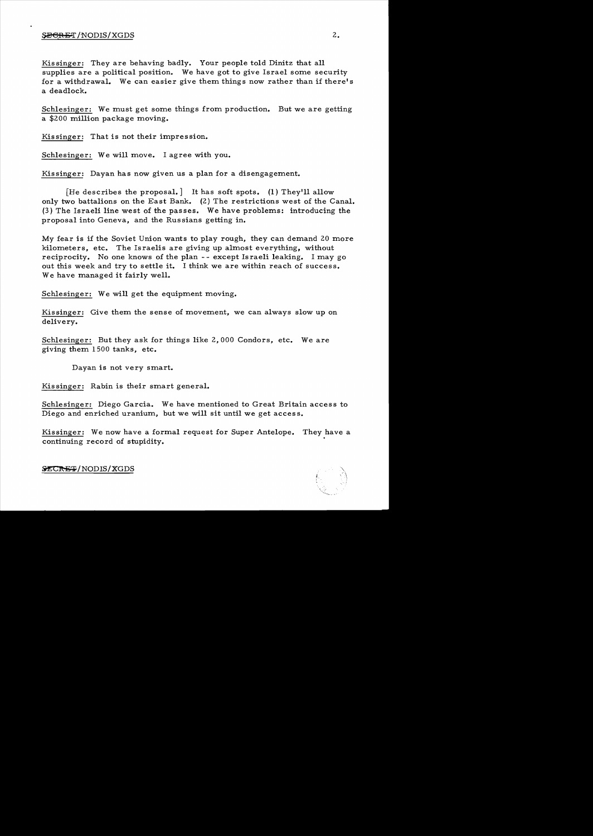### SECRET/NODIS/XGDS

Kissinger: They are behaving badly. Your people told Dinitz that all supplies are a political position. We have got to give Israel some security for a withdrawal. We can easier give them things now rather than if there's a deadlock.

Schlesinger: We must get some things from production. But we are getting a \$200 million package moving.

Kissinger: That is not their impression.

Schlesinger: We will move. I agree with you.

Kissinger: Dayan has now given us a plan for a disengagement.

[He describes the proposal.] It has soft spots. (1) They'll allow only two battalions on the East Bank. (2) The restrictions west of the Canal. (3) The Israeli line west of the passes. We have problems: introducing the proposal into Geneva, and the Russians getting in.

My fear is if the Soviet Union wants to play rough, they can demand 20 more kilometers, etc. The Israelis are giving up almost everything, without reciprocity. No one knows of the plan -- except Israeli leaking. I may go out this week and try to settle it. I think we are within reach of success. We have managed it fairly well.

Schlesinger: We will get the equipment moving.

Kissinger: Give them the sense of movement, we can always slow up on delivery.

Schlesinger: But they ask for things like 2,000 Condors, etc. We are giving them 1500 tanks, etc.

Dayan is not very smart.

Kis singer: Rabin is their smart general.

Schlesinger: Diego Garcia. We have mentioned to Great Britain access to Diego and enriched uranium, but we will sit until we get access.

Kissinger: We now have a formal request for Super Antelope. They have a continuing record of stupidity.



 $\tt{SECREF/NODIS/XGDS}$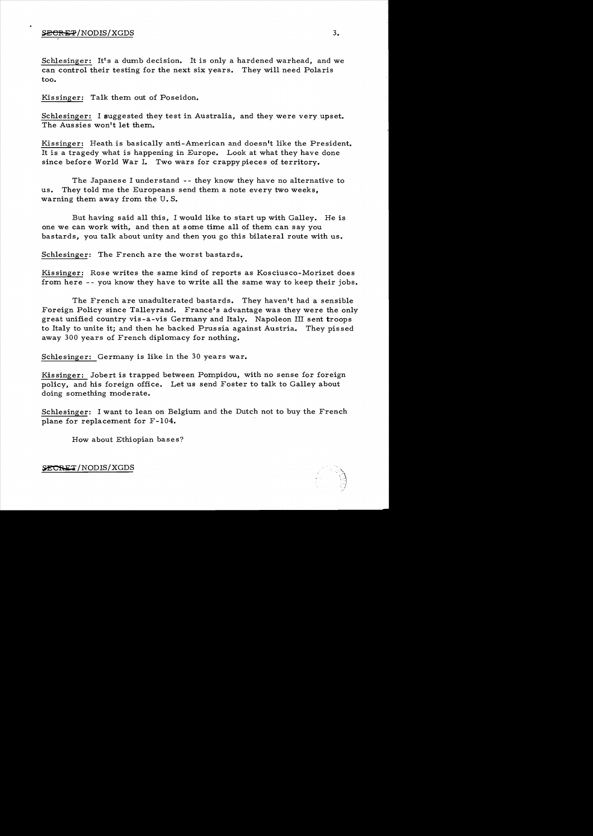Schlesinger: It's a dumb decision. It is only a hardened warhead, and we can control their testing for the next six years. They will need Polaris too.

Kissinger: Talk them out of Poseidon.

Schlesinger: I suggested they test in Australia, and they were very upset. The Aussies won't let them.

Kissinger: Heath is basically anti-American and doesn't like the President. It is a tragedy what is happening in Europe. Look at what they have done since before World War I. Two wars for crappy pieces of territory.

The Japanese I understand -- they know they have no alternative to us. They told me the Europeans send them a note every two weeks, warning them away from the U. S.

But having said all this, I would like to start up with Galley. He is one we can work with, and then at some time all of them can say you bastards, you talk about unity and then you go this bilateral route with us.

Schlesinger: The French are the worst bastards.

Kissinger: Rose writes the same kind of reports as Kosciusco-Morizet does from here - - you know they have to write all the same way to keep their jobs.

The French are unadulterated bastards. They haven't had a sensible Foreign Policy since Talleyrand. France's advantage was they were the only great unified country vis -a-vis Germany and Italy. Napoleon III sent troops to Italy to unite it; and then he backed Prus sia against Austria. They pissed away 300 years of French diplomacy for nothing.

Schlesinger: Germany is like in the 30 years war.

Kissinger: Jobert is trapped between Pompidou, with no sense for foreign policy, and his foreign office. Let us send Foster to talk to Galley about doing something moderate.

Schlesinger: I want to lean on Belgium and the Dutch not to buy the French plane for replacement for F-I04.

How about Ethiopian bases?

SECRET/NODIS/XGDS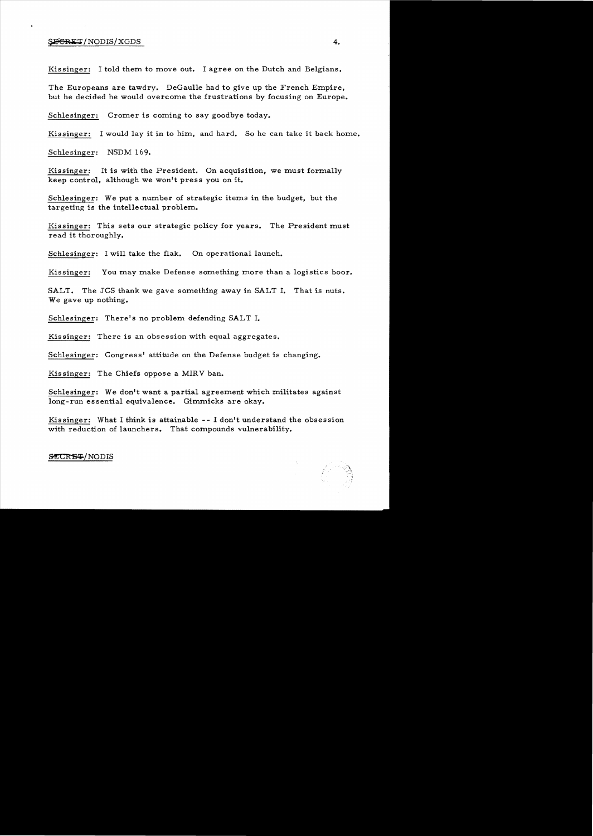#### $\overline{SEGRET}/\text{NODIS}/\text{XGDS}$  4.

Kissinger: I told them to move out. I agree on the Dutch and Belgians.

The Europeans are tawdry. DeGaulle had to give up the French Empire, but he decided he would overcome the frustrations by focusing on Europe.

Schlesinger: Cromer is coming to say goodbye today.

Kissinger: I would lay it in to him, and hard. So he can take it back home.

Schlesinger: NSDM 169.

Kissinger: It is with the President. On acquisition, we must formally keep control, although we won't press you on it.

Schlesinger: We put a number of strategic items in the budget, but the targeting is the intellectual problem.

Kissinger: This sets our strategic policy for years. The President must read it thoroughly.

Schlesinger: I will take the flak. On operational launch.

Kissinger: You may make Defense something more than a logistics boor.

SALT. The JCS thank we gave something away in SALT I. That is nuts. We gave up nothing.

Schlesinger: There's no problem defending SALT I.

Kis singer: There is an obsession with equal aggregates.

Schlesinger: Congress' attitude on the Defense budget is changing.

Kis singer: The Chiefs oppose a MIRV ban.

Schlesinger: We don't want a partial agreement which militates against long-run essential equivalence. Gimmicks are okay.

Kissinger: What I think is attainable -- I don't understand the obsession with reduction of launchers. That compounds vulnerability.

#### SECRE-P/NODIS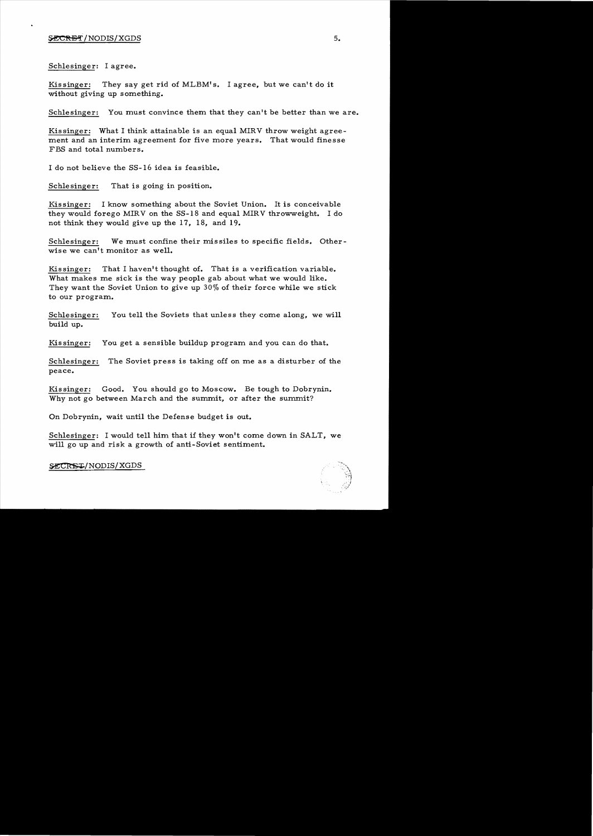Schlesinger: I agree.

Kissinger: They say get rid of MLBM's. I agree, but we can't do it without giving up something.

Schlesinger: You must convince them that they can't be better than we are.

Kissinger: What I think attainable is an equal MIRV throw weight agreement and an interim agreement for five more years. That would finesse FBS and total numbers.

I do not believe the SS-16 idea is feasible.

Schlesinger: That is going in position.

Kissinger: I know something about the Soviet Union. It is conceivable they would forego MIRV on the SS-18 and equal MIRV throwweight. I do not think they would give up the 17, 18, and 19.

Schlesinger: We must confine their missiles to specific fields. Otherwise we can't monitor as well.

Kissinger: That I haven't thought of. That is a verification variable. What makes me sick is the way people gab about what we would like. They want the Soviet Union to give up 30% of their force while we stick to our program.

Schlesinger: You tell the Soviets that unless they come along, we will build up.

Kissinger: You get a sensible buildup program and you can do that.

Schlesinger: The Soviet press is taking off on me as a disturber of the peace.

Kissinger: Good. You should go to Moscow. Be tough to Dobrynin. Why not go between March and the summit, or after the summit?

On Dobrynin, wait until the Defense budget is out.

Schlesinger: I would tell him that if they won't come down in SALT, we will go up and risk a growth of anti-Soviet sentiment.

SECRET/NODIS/XGDS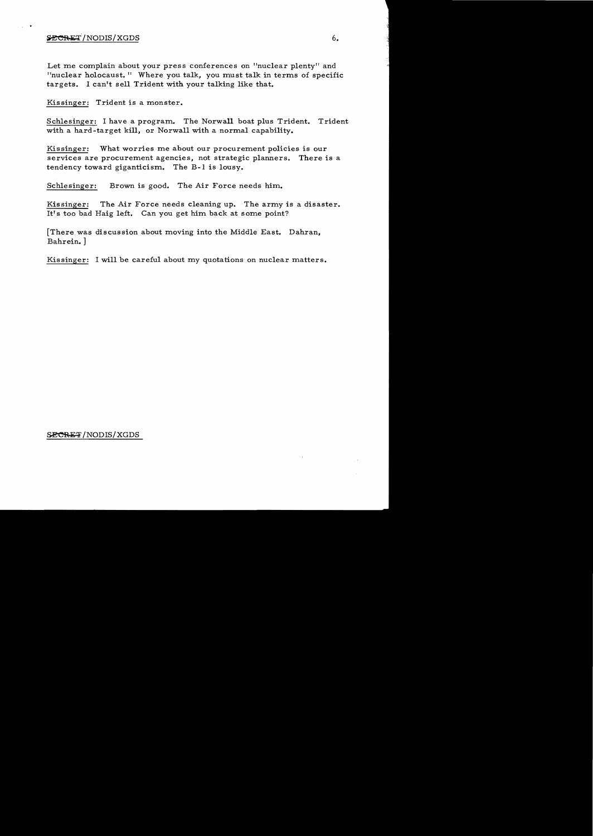### $\frac{SECREF}{NODIS/XGDS}$  6.

Let me complain about your press conferences on "nuclear plenty" and "nuclear holocaust." Where you talk, you must talk in terms of specific targets. I can't sell Trident with your talking like that.

Kissinger: Trident is a monster.

Schlesinger: I have a program. The Norwall boat plus Trident. Trident with a hard-target kill, or Norwall with a normal capability.

Kissinger: What worries me about our procurement policies is our services are procurement agencies, not strategic planners. There is a tendency toward giganticism. The B-1 is lousy.

Schlesinger: Brown is good. The Air Force needs him.

Kissinger: The Air Force needs cleaning up. The army is a disaster. It's too bad Haig left. Can you get him back at some point?

[There was discussion about tnoving into the Middle East. Dahran, Bahrein. ]

Kissinger: I will be careful about my quotations on nuclear matters.

#### SECRET/NODIS/XGDS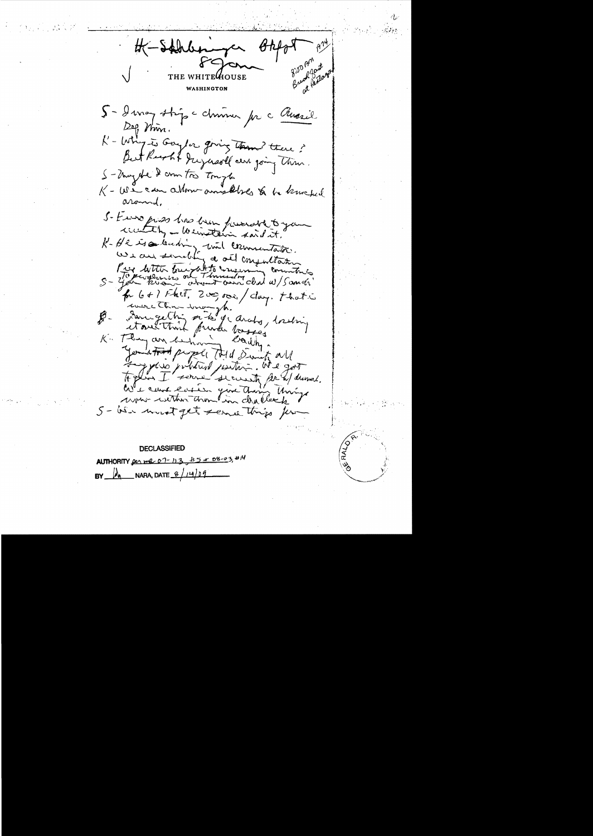-Sahrbernger  $8.00 \text{ yr}$ proat at Pentors AOUSE WASHINGTON 5- Imag strip chimie pr c Aussil  $\log \eta$  min. K - Why is Gaylor giving Tam? there? But Reacht Jugersoll aux going This. S-Ungele 2 com to tough " 1<br>K - We can allow anything to be liveded around. S- Euro press has hear forward to your wanterly - Weinstein said it. K-He is a leading unt commentation. Prix with tour at to memory commitment  $S - 4$  and  $R$ for 6+1 Fhet, 200,000/clay. that is De Langethi n'és j'ardy, tredring K. They an behov earchy January property told Simily all To get so prébation pourre. were within though in challenge 5 - bien mont get serve this for

**DECLASSIFIED**  $85 + 08 - 03.414$ AUTHORITY Des me 07-113  $M_{\bullet}$ NARA, DATE  $\frac{8}{14}$ **BY**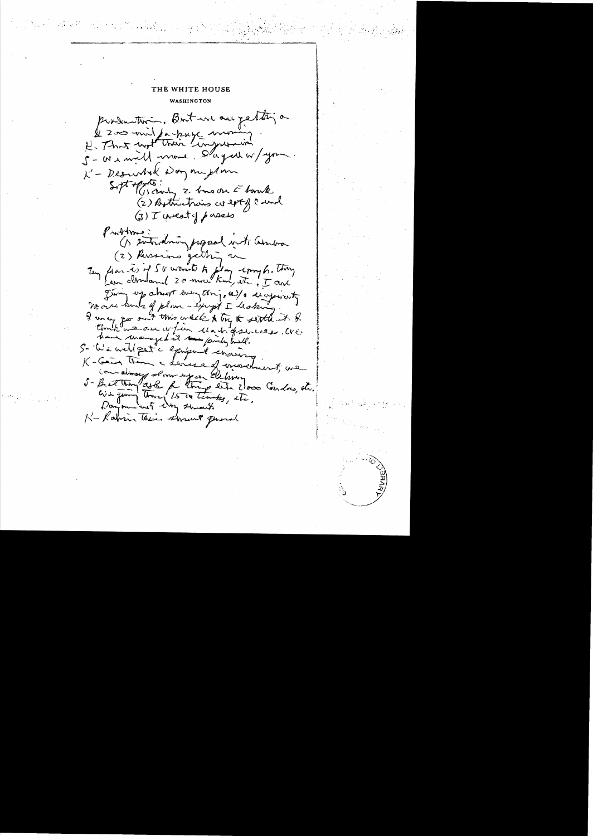THE WHITE HOUSE WASHINGTON production. But we are petting a & 200 mil farkuse moning 5- We will now day at w/you K - Descentral Day me plan Soft of chody 2 bans on E borch (2) Bothertrains as ext of Cural  $3)$  T invest of passes  $\mathbb{P}_{\mathbf{A}}$  throws : ( subsiding popped into anton (2) Russians getting un Tuy flar is if 50 words to flag comple. Thing giving up about everything, as/ a receptionty no one hunts of plan - except I leaker I may go out this week & try & settle it & have unanaged it seem fairly built. 5- We will pet a exprisement considering K-Gain Thin a Levera of movement, we come always slow up on Elehany 5- Best trong ago de trong este 2000 Condos, de. K-Rabin Their storent general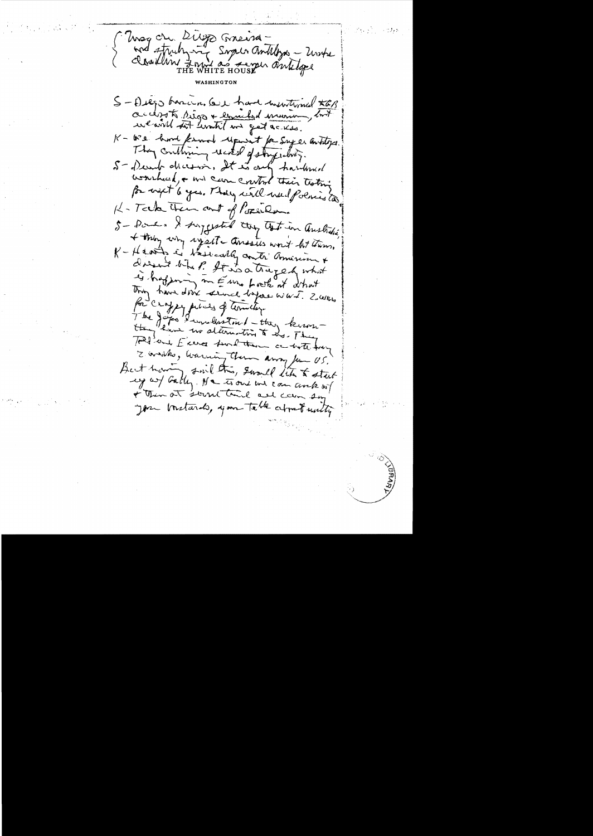Unager Diego Greena-<br>And struhying Super antilize - United S-Diego barcin, leve hard mentimed KEB accept sigs + comedad mom wearn tot limit it get acress. K- We have known upweit for super antitys. They conthising reckel of story white. 5- Dearb ducesin, It is only hardened wourhead, or will care control their testing for west 6 year They will well followed to K- Teck them and of Poper Que 5- Pomer & suggested they that in australia + they why syparte ansates won't but them, K - Hearts is tasically contr' american + dient bluf It is a traged what is happing in Europost at what Thing have done seemed before would z survey for crafty pieces of terribly. The Joyes Runderston / - they know Told and Exercis surelition a with they I writes, having them away for US. But having smil this, swould like to start + Then at sound time all cam so you bustands, you table about with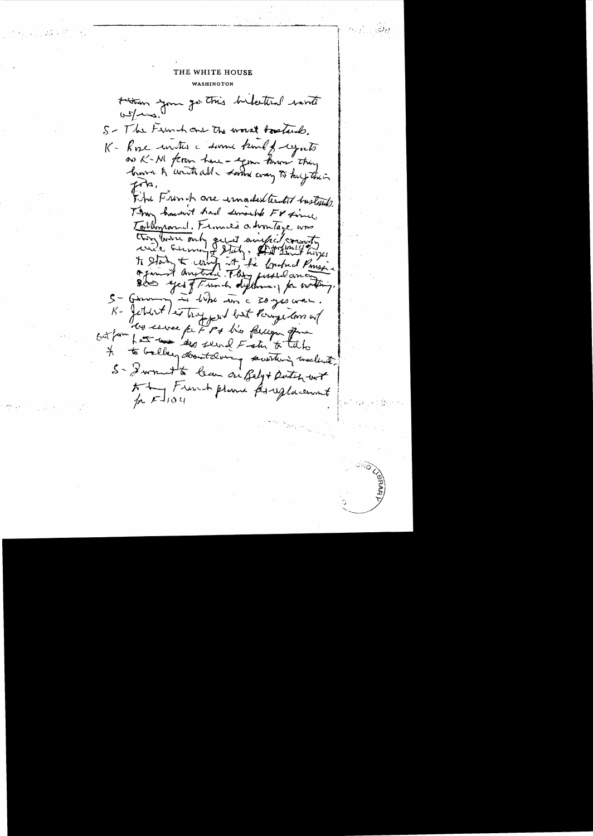tation you go this belatted winter  $0,22,10$ S- The Frunch and the worst bastards. K- Rose unites a summe kind of regards as K-M feren have - egme know they have to write all - Loom way to keep their The Fronch one imaded tent turnship Then haven't had sensible For fine Tollimond. From 20 a hontage was they burn only out auther country to state a contrat et la Contrat Pensier Des exceptions differences for writing. S-Germany in like in a soyes was. K- fettert les troppent but Pouze lors at les serves fa 7 pt l'o fercion que outfain for the dep send Fish & take If to Gallery downtaling sountering meeting 5- Swampton leur on Bely+ Dutch unt At French plane foreglacement  $mFJ104$ 

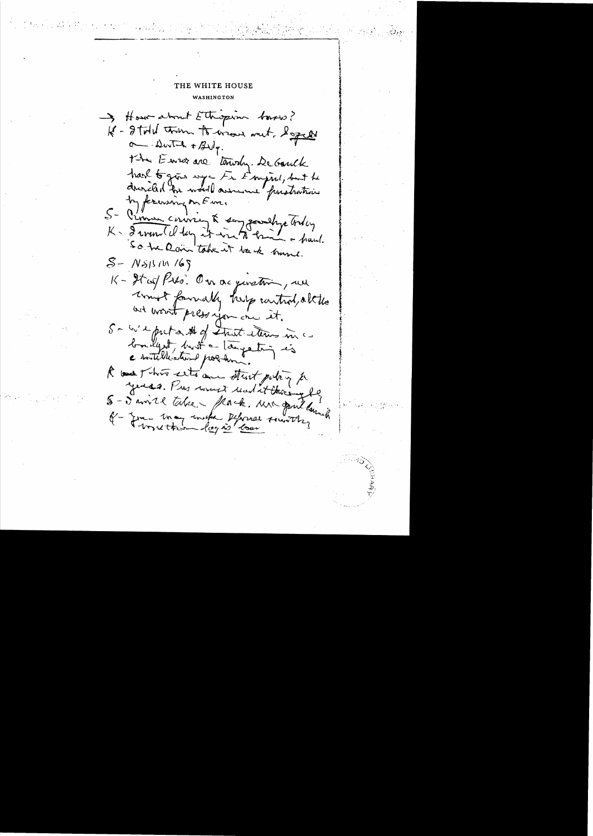### THE WHITE HOUSE WASHINGTON

I How about Ethopin toward? 18 - Ital trum to wave met x great  $\sim$  Dwitch + Byly. the Euro are terriby. De Gauck hard to give mya Fr Empire, but he drincled for world assume paratrations by forwaring on Eur. S- Pinner coursing & say powerfuge today K- I would keep it win to brink a fraud. So the Rain take it back hame.  $S-$  NSISIW 169 K- It is Pilo. On acquisation, we won't foundly help control, altho and won't press you one it. Sa w'e puta # of that them inc bailly try that a largeting is a double leater point R and This eits and strict policy & years. Pros would und at thering be S-Savire table - flack. Mi gail land Et - June 1may united Peforal sounds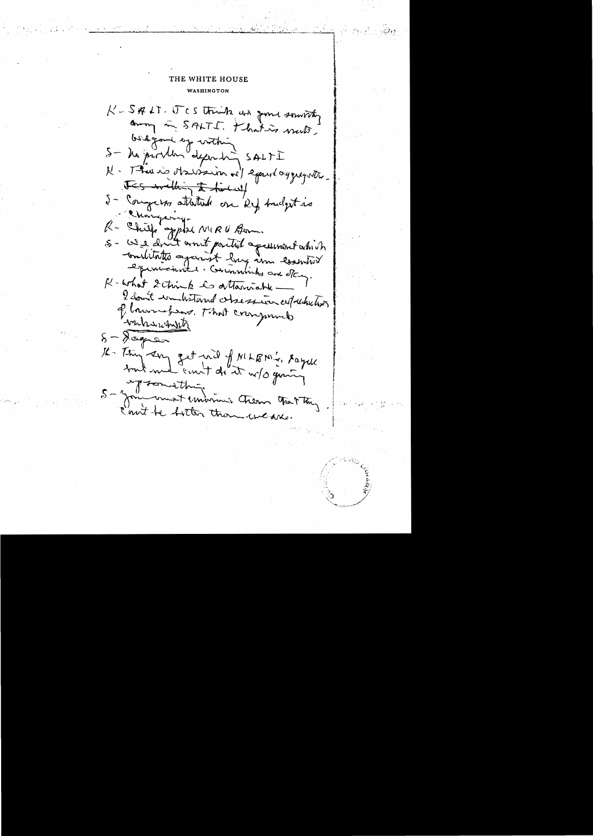K-SALT. ITCS think we gone souristy away in SALTI. Khatis vecto. bestgand up within S- he produced depending SALTI N. Thus is observanced exact aggregate. Its within the first of 5 - Congesso attentiale on Ref Andget no R - Chief applie NIRU Bon. 5 - We don't won't partiel agreement which conditates against large in control experiences : Communiches aux étaux. R-what Schink to attainable I don't wonderstand obsession allowheters of brunchews. That compounds backwaints  $\delta - \lambda$ coper 16 Thy any get nid f MLBN's sayer tout med "count do" it w/s guing ing something  $5 - \frac{1}{2}$ I commence Chem grat they Court be bottom than weak.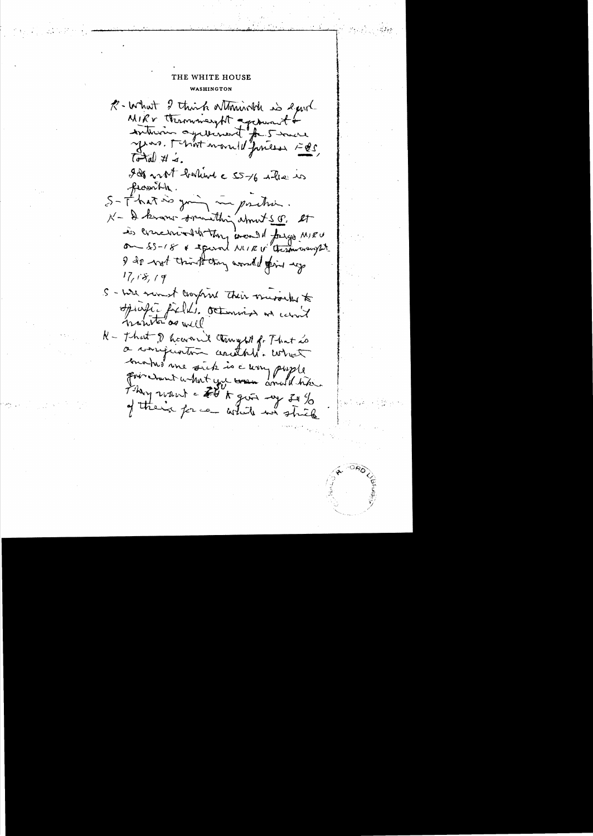### THE WHITE HOUSE WASHINGTON

R- What I think attorish is equit MIRV thermomeryth againment &  $\vec{b}$  and  $\vec{c}$  and  $\vec{d}$ . In not bothing a 55-16 where we frownth. S-That is going me position N - I know somithing about S. O. et is concerned to they would forgo MIEU on 55-18 & experient NUIR V these way 27 I do not think they awaited find up  $17, 18, 19$ S - wie mont comprove their morning to Spirate forthe Octominal and carried hometer as well R - That I have n't trought for That is a compration contable what mons une sick is a worry pupile from want what you wan anoth have They want a Fit it gives my Is % of their force white we shick

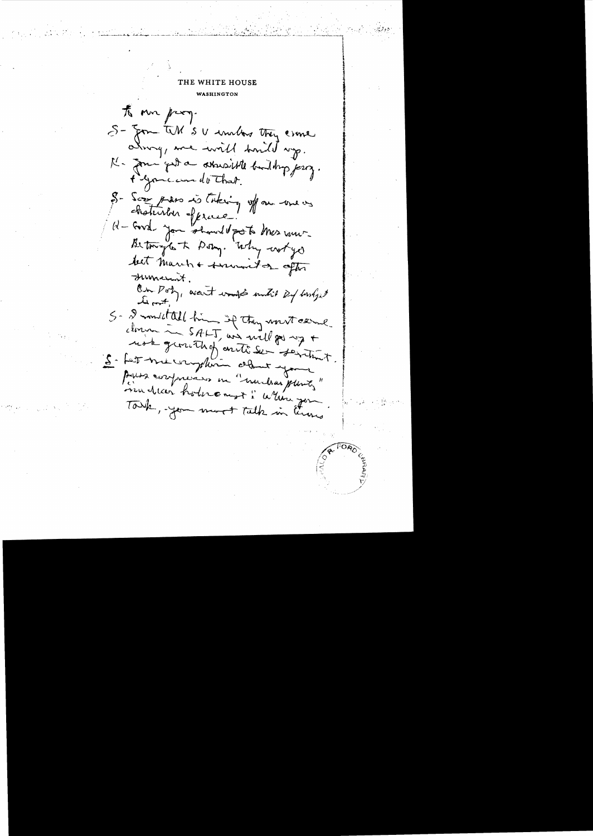to more prog. S- Jon WW SU unlos they came alway, we will trouble up. K- Jour gut a atousiste builty jerry. t gome can do That. S- Soon press is taking of our use os chaturber offrece 11-Eurel Jan Showell port Mes vous Between to the Delig. Why workyd but march + survent or other Jument. On Pot, want would make 24 hortget 5- 2 month all him if they won't canne closure in  $SALT$  and will go up + usk general fantiser fertint. 5- Let me complain claus your Paris confinance in "muchas plants" mudicar holivement: When you Touch, you must talk in Come